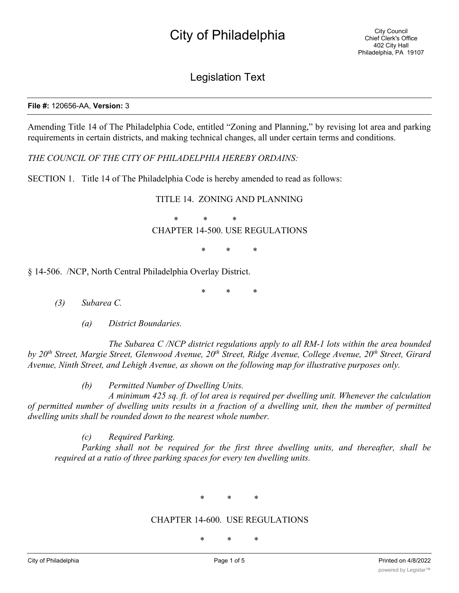# City of Philadelphia

### Legislation Text

#### **File #:** 120656-AA, **Version:** 3

Amending Title 14 of The Philadelphia Code, entitled "Zoning and Planning," by revising lot area and parking requirements in certain districts, and making technical changes, all under certain terms and conditions.

*THE COUNCIL OF THE CITY OF PHILADELPHIA HEREBY ORDAINS:*

SECTION 1. Title 14 of The Philadelphia Code is hereby amended to read as follows:

TITLE 14. ZONING AND PLANNING

\* \* \*

CHAPTER 14-500. USE REGULATIONS

\* \* \*

§ 14-506. /NCP, North Central Philadelphia Overlay District.

\* \* \*

*(3) Subarea C.*

*(a) District Boundaries.*

*The Subarea C /NCP district regulations apply to all RM-1 lots within the area bounded by 20th Street, Margie Street, Glenwood Avenue, 20th Street, Ridge Avenue, College Avenue, 20th Street, Girard Avenue, Ninth Street, and Lehigh Avenue, as shown on the following map for illustrative purposes only.*

*(b) Permitted Number of Dwelling Units.*

*A minimum 425 sq. ft. of lot area is required per dwelling unit. Whenever the calculation* of permitted number of dwelling units results in a fraction of a dwelling unit, then the number of permitted *dwelling units shall be rounded down to the nearest whole number.*

*(c) Required Parking.*

*Parking shall not be required for the first three dwelling units, and thereafter, shall be required at a ratio of three parking spaces for every ten dwelling units.*

\* \* \*

### CHAPTER 14-600. USE REGULATIONS

\* \* \*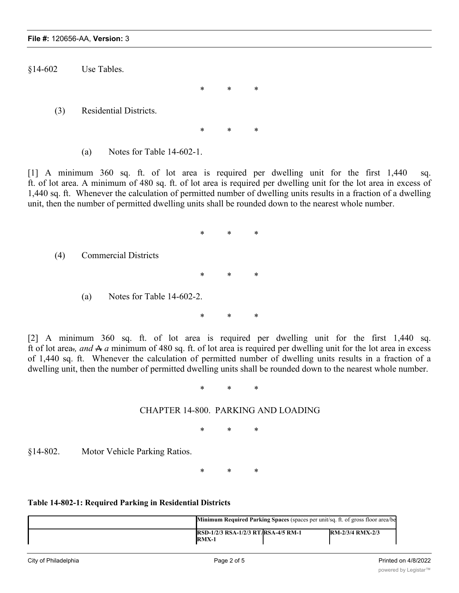§14-602 Use Tables.

(3) Residential Districts.

(a) Notes for Table 14-602-1.

[1] A minimum 360 sq. ft. of lot area is required per dwelling unit for the first 1,440 sq. ft. of lot area. A minimum of 480 sq. ft. of lot area is required per dwelling unit for the lot area in excess of 1,440 sq. ft. Whenever the calculation of permitted number of dwelling units results in a fraction of a dwelling unit, then the number of permitted dwelling units shall be rounded down to the nearest whole number.

\* \* \*

\* \* \*

\* \* \*

(4) Commercial Districts \* \* \* (a) Notes for Table 14-602-2.

\* \* \*

[2] A minimum 360 sq. ft. of lot area is required per dwelling unit for the first 1,440 sq. ft of lot area.*, and* A *a* minimum of 480 sq. ft. of lot area is required per dwelling unit for the lot area in excess of 1,440 sq. ft. Whenever the calculation of permitted number of dwelling units results in a fraction of a dwelling unit, then the number of permitted dwelling units shall be rounded down to the nearest whole number.

\* \* \*

### CHAPTER 14-800. PARKING AND LOADING

\* \* \*

§14-802. Motor Vehicle Parking Ratios.

\* \* \*

### **Table 14-802-1: Required Parking in Residential Districts**

| <b>Minimum Required Parking Spaces</b> (spaces per unit/sq. ft. of gross floor area/be |  |                         |
|----------------------------------------------------------------------------------------|--|-------------------------|
| <b>RSD-1/2/3 RSA-1/2/3 RT/RSA-4/5 RM-1</b><br>$RMX-1$                                  |  | <b>RM-2/3/4 RMX-2/3</b> |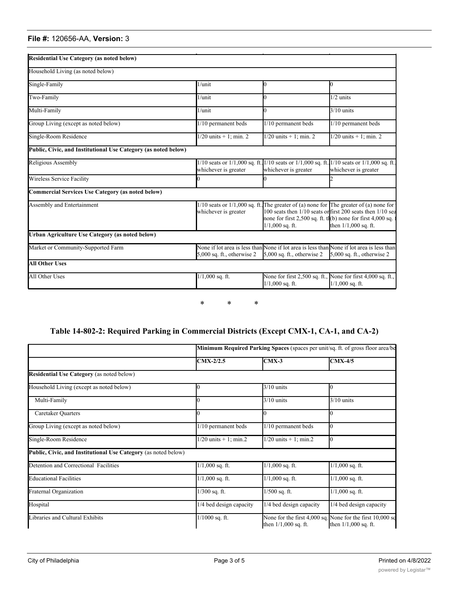#### **File #:** 120656-AA, **Version:** 3

| <b>Residential Use Category (as noted below)</b>               |                              |                                                                                                                                                                               |                                                                                    |
|----------------------------------------------------------------|------------------------------|-------------------------------------------------------------------------------------------------------------------------------------------------------------------------------|------------------------------------------------------------------------------------|
| Household Living (as noted below)                              |                              |                                                                                                                                                                               |                                                                                    |
| Single-Family                                                  | 1/unit                       |                                                                                                                                                                               | O.                                                                                 |
| Two-Family                                                     | $1/$ unit                    |                                                                                                                                                                               | $1/2$ units                                                                        |
| Multi-Family                                                   | 1/unit                       |                                                                                                                                                                               | $3/10$ units                                                                       |
| Group Living (except as noted below)                           | 1/10 permanent beds          | 1/10 permanent beds                                                                                                                                                           | 1/10 permanent beds                                                                |
| Single-Room Residence                                          | $1/20$ units + 1; min. 2     | $1/20$ units $+1$ ; min. 2                                                                                                                                                    |                                                                                    |
| Public, Civic, and Institutional Use Category (as noted below) |                              |                                                                                                                                                                               |                                                                                    |
| Religious Assembly                                             | whichever is greater         | 1/10 seats or 1/1,000 sq. ft. 1/10 seats or 1/1,000 sq. ft. 1/10 seats or 1/1,000 sq. ft.<br>whichever is greater<br>whichever is greater                                     |                                                                                    |
| Wireless Service Facility                                      |                              |                                                                                                                                                                               |                                                                                    |
| Commercial Services Use Category (as noted below)              |                              |                                                                                                                                                                               |                                                                                    |
| Assembly and Entertainment                                     | whichever is greater         | $1/10$ seats or $1/1,000$ sq. ft. The greater of (a) none for The greater of (a) none for<br>none for first 2,500 sq. ft. tl(b) none for first 4,000 sq.<br>$1/1,000$ sq. ft. | 100 seats then 1/10 seats or first 200 seats then 1/10 sea<br>then 1/1,000 sq. ft. |
| Urban Agriculture Use Category (as noted below)                |                              |                                                                                                                                                                               |                                                                                    |
| Market or Community-Supported Farm                             | $5,000$ sq. ft., otherwise 2 | None if lot area is less than None if lot area is less than None if lot area is less than<br>5,000 sq. ft., otherwise 2                                                       | $5,000$ sq. ft., otherwise 2                                                       |
| <b>All Other Uses</b>                                          |                              |                                                                                                                                                                               |                                                                                    |
| All Other Uses                                                 | $\overline{1/1,000}$ sq. ft. | None for first 2,500 sq. ft., None for first 4,000 sq. ft.,<br>$1/1,000$ sq. ft.                                                                                              | $1/1,000$ sq. ft.                                                                  |

**Minimum Required Parking Spaces** (spaces per unit/sq. ft. of gross floor area/beds/seats)

\* \* \*

### **Table 14-802-2: Required Parking in Commercial Districts (Except CMX-1, CA-1, and CA-2)**

|                                                                | Minimum Required Parking Spaces (spaces per unit/sq. ft. of gross floor area/be |                         |                                                                                     |  |
|----------------------------------------------------------------|---------------------------------------------------------------------------------|-------------------------|-------------------------------------------------------------------------------------|--|
|                                                                | CMX-2/2.5                                                                       | $CMX-3$                 | $CMX-4/5$                                                                           |  |
| Residential Use Category (as noted below)                      |                                                                                 |                         |                                                                                     |  |
| Household Living (except as noted below)                       |                                                                                 | $3/10$ units            | 0                                                                                   |  |
| Multi-Family                                                   |                                                                                 | $3/10$ units            | $3/10$ units                                                                        |  |
| Caretaker Quarters                                             |                                                                                 |                         |                                                                                     |  |
| Group Living (except as noted below)                           | 1/10 permanent beds                                                             | 1/10 permanent beds     | $\bf{I}$                                                                            |  |
| Single-Room Residence                                          | $1/20$ units $+1$ ; min.2                                                       | $1/20$ units + 1; min.2 | $\mathbf{I}$                                                                        |  |
| Public, Civic, and Institutional Use Category (as noted below) |                                                                                 |                         |                                                                                     |  |
| Detention and Correctional Facilities                          | $1/1,000$ sq. ft.                                                               | $1/1,000$ sq. ft.       | $1/1,000$ sq. ft.                                                                   |  |
| <b>Educational Facilities</b>                                  | $1/1,000$ sq. ft.                                                               | $1/1,000$ sq. ft.       | $1/1,000$ sq. ft.                                                                   |  |
| Fraternal Organization                                         | $1/300$ sq. ft.                                                                 | $1/500$ sq. ft.         | $1/1,000$ sq. ft.                                                                   |  |
| Hospital                                                       | 1/4 bed design capacity                                                         | 1/4 bed design capacity | 1/4 bed design capacity                                                             |  |
| Libraries and Cultural Exhibits                                | $1/1000$ sq. ft.                                                                | then $1/1,000$ sq. ft.  | None for the first 4,000 sq. None for the first 10,000 sq<br>then $1/1,000$ sq. ft. |  |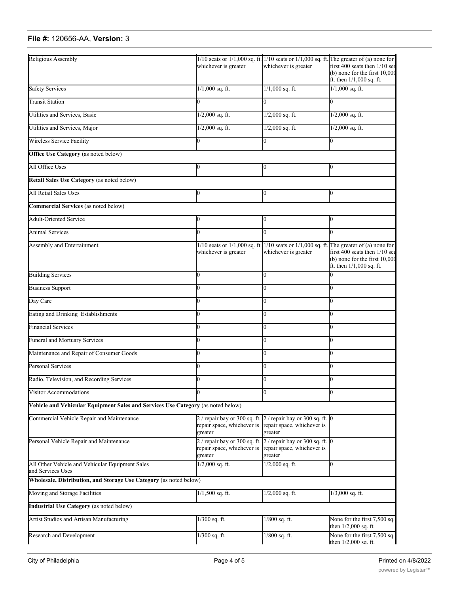## **File #:** 120656-AA, **Version:** 3

| Religious Assembly                                                               |                                                                                                          |                                                                                                          | $1/10$ seats or $1/1,000$ sq. ft. $1/10$ seats or $1/1,000$ sq. ft. The greater of (a) none for                                                                                                     |
|----------------------------------------------------------------------------------|----------------------------------------------------------------------------------------------------------|----------------------------------------------------------------------------------------------------------|-----------------------------------------------------------------------------------------------------------------------------------------------------------------------------------------------------|
|                                                                                  | whichever is greater                                                                                     | whichever is greater                                                                                     | first 400 seats then 1/10 sea<br>$(b)$ none for the first $10,000$<br>ft. then 1/1,000 sq. ft.                                                                                                      |
| <b>Safety Services</b>                                                           | $1/1,000$ sq. ft.                                                                                        | $1/1,000$ sq. ft.                                                                                        | $1/1,000$ sq. ft.                                                                                                                                                                                   |
| <b>Transit Station</b>                                                           | 0                                                                                                        | $\overline{0}$                                                                                           | 0                                                                                                                                                                                                   |
| Utilities and Services, Basic                                                    | $1/2,000$ sq. ft.                                                                                        | $1/2,000$ sq. ft.                                                                                        | $1/2,000$ sq. ft.                                                                                                                                                                                   |
| Utilities and Services, Major                                                    | $1/2,000$ sq. ft.                                                                                        | $1/2,000$ sq. ft.                                                                                        | $1/2,000$ sq. ft.                                                                                                                                                                                   |
| Wireless Service Facility                                                        |                                                                                                          |                                                                                                          | 0                                                                                                                                                                                                   |
| <b>Office Use Category</b> (as noted below)                                      |                                                                                                          |                                                                                                          |                                                                                                                                                                                                     |
| All Office Uses                                                                  | 0                                                                                                        | 0                                                                                                        | 0                                                                                                                                                                                                   |
| Retail Sales Use Category (as noted below)                                       |                                                                                                          |                                                                                                          |                                                                                                                                                                                                     |
| <b>All Retail Sales Uses</b>                                                     | 0                                                                                                        | $\Omega$                                                                                                 | 0                                                                                                                                                                                                   |
| Commercial Services (as noted below)                                             |                                                                                                          |                                                                                                          |                                                                                                                                                                                                     |
| <b>Adult-Oriented Service</b>                                                    | Ю                                                                                                        | 0                                                                                                        | 0                                                                                                                                                                                                   |
| <b>Animal Services</b>                                                           |                                                                                                          |                                                                                                          | 0                                                                                                                                                                                                   |
| Assembly and Entertainment                                                       | whichever is greater                                                                                     | whichever is greater                                                                                     | $1/10$ seats or $1/1,000$ sq. ft. $1/10$ seats or $1/1,000$ sq. ft. The greater of (a) none for<br>first 400 seats then 1/10 sea<br>$(b)$ none for the first $10,000$<br>ft. then $1/1,000$ sq. ft. |
| <b>Building Services</b>                                                         | 0                                                                                                        | 0                                                                                                        |                                                                                                                                                                                                     |
| <b>Business Support</b>                                                          |                                                                                                          |                                                                                                          | 0                                                                                                                                                                                                   |
| Day Care                                                                         |                                                                                                          |                                                                                                          | 0                                                                                                                                                                                                   |
| Eating and Drinking Establishments                                               |                                                                                                          |                                                                                                          | 0                                                                                                                                                                                                   |
| <b>Financial Services</b>                                                        |                                                                                                          |                                                                                                          | O.                                                                                                                                                                                                  |
| Funeral and Mortuary Services                                                    | 0                                                                                                        | 0                                                                                                        | 0                                                                                                                                                                                                   |
| Maintenance and Repair of Consumer Goods                                         | 0                                                                                                        |                                                                                                          | 0                                                                                                                                                                                                   |
| <b>Personal Services</b>                                                         |                                                                                                          |                                                                                                          | 0                                                                                                                                                                                                   |
| Radio, Television, and Recording Services                                        |                                                                                                          |                                                                                                          | 0                                                                                                                                                                                                   |
| Visitor Accommodations                                                           |                                                                                                          |                                                                                                          |                                                                                                                                                                                                     |
| Vehicle and Vehicular Equipment Sales and Services Use Category (as noted below) |                                                                                                          |                                                                                                          |                                                                                                                                                                                                     |
| Commercial Vehicle Repair and Maintenance                                        | $2/$ repair bay or 300 sq. ft. $2/$ repair bay or 300 sq. ft. 0<br>repair space, whichever is<br>greater | repair space, whichever is<br>greater                                                                    |                                                                                                                                                                                                     |
| Personal Vehicle Repair and Maintenance                                          | repair space, whichever is<br>greater                                                                    | $2/$ repair bay or 300 sq. ft. $2/$ repair bay or 300 sq. ft. 0<br>repair space, whichever is<br>greater |                                                                                                                                                                                                     |
| All Other Vehicle and Vehicular Equipment Sales<br>and Services Uses             | $1/2,000$ sq. ft.                                                                                        | $1/2,000$ sq. ft.                                                                                        | 0                                                                                                                                                                                                   |
| Wholesale, Distribution, and Storage Use Category (as noted below)               |                                                                                                          |                                                                                                          |                                                                                                                                                                                                     |
| Moving and Storage Facilities                                                    | $1/1,500$ sq. ft.                                                                                        | $1/2,000$ sq. ft.                                                                                        | $1/3,000$ sq. ft.                                                                                                                                                                                   |
| Industrial Use Category (as noted below)                                         |                                                                                                          |                                                                                                          |                                                                                                                                                                                                     |
| Artist Studios and Artisan Manufacturing                                         | 1/300 sq. ft.                                                                                            | $1/800$ sq. ft.                                                                                          | None for the first 7,500 sq.<br>then $1/2,000$ sq. ft.                                                                                                                                              |
| Research and Development                                                         | 1/300 sq. ft.                                                                                            | $1/800$ sq. ft.                                                                                          | None for the first 7,500 sq.<br>then 1/2,000 sq. ft.                                                                                                                                                |

Hospital 1/4 bed design capacity 1/4 bed design capacity 1/4 bed design capacity 1/4 bed design capacity 1/4  $\mu$ 

**Urban Agriculture Use Category** (as noted below)